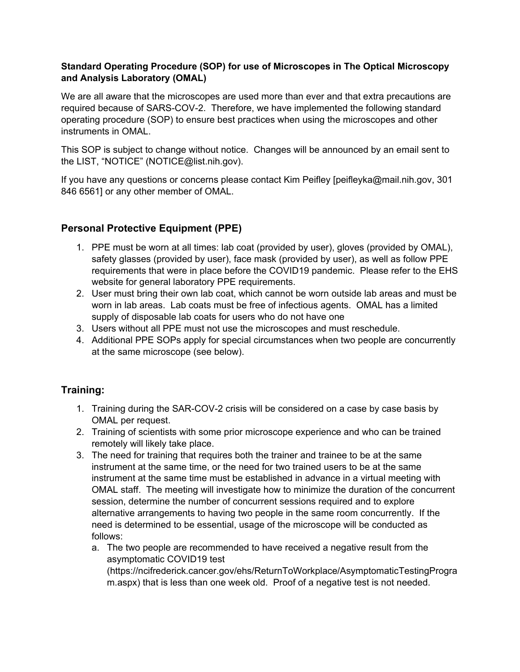#### **Standard Operating Procedure (SOP) for use of Microscopes in The Optical Microscopy and Analysis Laboratory (OMAL)**

We are all aware that the microscopes are used more than ever and that extra precautions are required because of SARS-COV-2. Therefore, we have implemented the following standard operating procedure (SOP) to ensure best practices when using the microscopes and other instruments in OMAL.

This SOP is subject to change without notice. Changes will be announced by an email sent to the LIST, "NOTICE" (NOTICE@list.nih.gov).

If you have any questions or concerns please contact Kim Peifley [peifleyka@mail.nih.gov, 301 846 6561] or any other member of OMAL.

## **Personal Protective Equipment (PPE)**

- 1. PPE must be worn at all times: lab coat (provided by user), gloves (provided by OMAL), safety glasses (provided by user), face mask (provided by user), as well as follow PPE requirements that were in place before the COVID19 pandemic. Please refer to the EHS website for general laboratory PPE requirements.
- 2. User must bring their own lab coat, which cannot be worn outside lab areas and must be worn in lab areas. Lab coats must be free of infectious agents. OMAL has a limited supply of disposable lab coats for users who do not have one
- 3. Users without all PPE must not use the microscopes and must reschedule.
- 4. Additional PPE SOPs apply for special circumstances when two people are concurrently at the same microscope (see below).

# **Training:**

- 1. Training during the SAR-COV-2 crisis will be considered on a case by case basis by OMAL per request.
- 2. Training of scientists with some prior microscope experience and who can be trained remotely will likely take place.
- 3. The need for training that requires both the trainer and trainee to be at the same instrument at the same time, or the need for two trained users to be at the same instrument at the same time must be established in advance in a virtual meeting with OMAL staff. The meeting will investigate how to minimize the duration of the concurrent session, determine the number of concurrent sessions required and to explore alternative arrangements to having two people in the same room concurrently. If the need is determined to be essential, usage of the microscope will be conducted as follows:
	- a. The two people are recommended to have received a negative result from the asymptomatic COVID19 test (https://ncifrederick.cancer.gov/ehs/ReturnToWorkplace/AsymptomaticTestingProgra m.aspx) that is less than one week old. Proof of a negative test is not needed.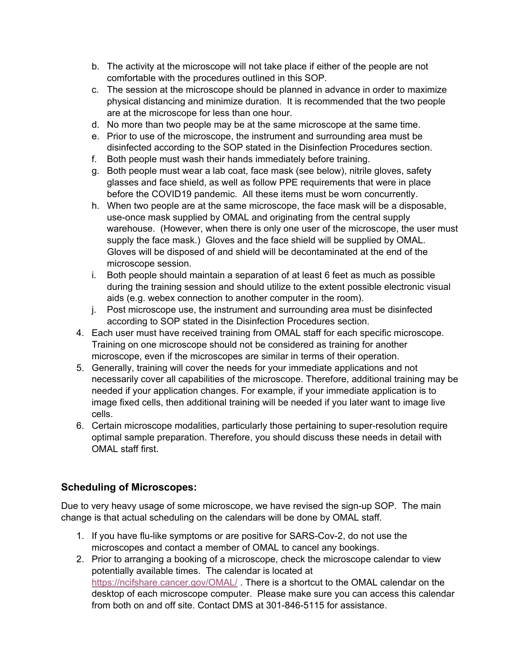- b. The activity at the microscope will not take place if either of the people are not comfortable with the procedures outlined in this SOP.
- c. The session at the microscope should be planned in advance in order to maximize physical distancing and minimize duration. It is recommended that the two people are at the microscope for less than one hour.
- d. No more than two people may be at the same microscope at the same time.
- e. Prior to use of the microscope, the instrument and surrounding area must be disinfected according to the SOP stated in the Disinfection Procedures section.
- f. Both people must wash their hands immediately before training.
- g. Both people must wear a lab coat, face mask (see below), nitrile gloves, safety glasses and face shield, as well as follow PPE requirements that were in place before the COVID19 pandemic. All these items must be worn concurrently.
- h. When two people are at the same microscope, the face mask will be a disposable, use-once mask supplied by OMAL and originating from the central supply warehouse. (However, when there is only one user of the microscope, the user must supply the face mask.) Gloves and the face shield will be supplied by OMAL. Gloves will be disposed of and shield will be decontaminated at the end of the microscope session.
- i. Both people should maintain a separation of at least 6 feet as much as possible during the training session and should utilize to the extent possible electronic visual aids (e.g. webex connection to another computer in the room).
- j. Post microscope use, the instrument and surrounding area must be disinfected according to SOP stated in the Disinfection Procedures section.
- 4. Each user must have received training from OMAL staff for each specific microscope. Training on one microscope should not be considered as training for another microscope, even if the microscopes are similar in terms of their operation.
- 5. Generally, training will cover the needs for your immediate applications and not necessarily cover all capabilities of the microscope. Therefore, additional training may be needed if your application changes. For example, if your immediate application is to image fixed cells, then additional training will be needed if you later want to image live cells.
- 6. Certain microscope modalities, particularly those pertaining to super-resolution require optimal sample preparation. Therefore, you should discuss these needs in detail with OMAL staff first.

# **Scheduling of Microscopes:**

Due to very heavy usage of some microscope, we have revised the sign-up SOP. The main change is that actual scheduling on the calendars will be done by OMAL staff.

- 1. If you have flu-like symptoms or are positive for SARS-Cov-2, do not use the microscopes and contact a member of OMAL to cancel any bookings.
- 2. Prior to arranging a booking of a microscope, check the microscope calendar to view potentially available times. The calendar is located at https://ncifshare.cancer.gov/OMAL/. There is a shortcut to the OMAL calendar on the desktop of each microscope computer. Please make sure you can access this calendar from both on and off site. Contact DMS at 301-846-5115 for assistance.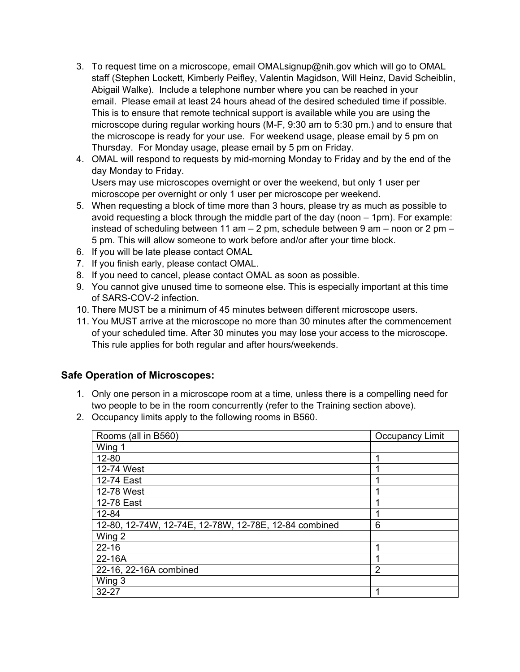- 3. To request time on a microscope, email OMALsignup@nih.gov which will go to OMAL staff (Stephen Lockett, Kimberly Peifley, Valentin Magidson, Will Heinz, David Scheiblin, Abigail Walke). Include a telephone number where you can be reached in your email. Please email at least 24 hours ahead of the desired scheduled time if possible. This is to ensure that remote technical support is available while you are using the microscope during regular working hours (M-F, 9:30 am to 5:30 pm.) and to ensure that the microscope is ready for your use. For weekend usage, please email by 5 pm on Thursday. For Monday usage, please email by 5 pm on Friday.
- 4. OMAL will respond to requests by mid-morning Monday to Friday and by the end of the day Monday to Friday.

Users may use microscopes overnight or over the weekend, but only 1 user per microscope per overnight or only 1 user per microscope per weekend.

- 5. When requesting a block of time more than 3 hours, please try as much as possible to avoid requesting a block through the middle part of the day (noon – 1pm). For example: instead of scheduling between 11 am – 2 pm, schedule between 9 am – noon or 2 pm – 5 pm. This will allow someone to work before and/or after your time block.
- 6. If you will be late please contact OMAL
- 7. If you finish early, please contact OMAL.
- 8. If you need to cancel, please contact OMAL as soon as possible.
- 9. You cannot give unused time to someone else. This is especially important at this time of SARS-COV-2 infection.
- 10. There MUST be a minimum of 45 minutes between different microscope users.
- 11. You MUST arrive at the microscope no more than 30 minutes after the commencement of your scheduled time. After 30 minutes you may lose your access to the microscope. This rule applies for both regular and after hours/weekends.

### **Safe Operation of Microscopes:**

- 1. Only one person in a microscope room at a time, unless there is a compelling need for two people to be in the room concurrently (refer to the Training section above).
- 2. Occupancy limits apply to the following rooms in B560.

| Rooms (all in B560)                                   | Occupancy Limit |
|-------------------------------------------------------|-----------------|
| Wing 1                                                |                 |
| 12-80                                                 |                 |
| 12-74 West                                            |                 |
| 12-74 East                                            |                 |
| 12-78 West                                            |                 |
| 12-78 East                                            |                 |
| 12-84                                                 |                 |
| 12-80, 12-74W, 12-74E, 12-78W, 12-78E, 12-84 combined | 6               |
| Wing 2                                                |                 |
| $22 - 16$                                             | 1               |
| 22-16A                                                |                 |
| 22-16, 22-16A combined                                | $\overline{2}$  |
| Wing 3                                                |                 |
| $32 - 27$                                             | 1               |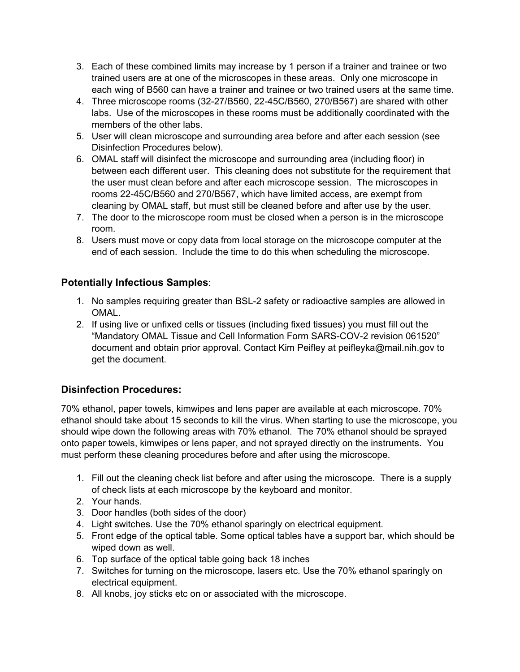- 3. Each of these combined limits may increase by 1 person if a trainer and trainee or two trained users are at one of the microscopes in these areas. Only one microscope in each wing of B560 can have a trainer and trainee or two trained users at the same time.
- 4. Three microscope rooms (32-27/B560, 22-45C/B560, 270/B567) are shared with other labs. Use of the microscopes in these rooms must be additionally coordinated with the members of the other labs.
- 5. User will clean microscope and surrounding area before and after each session (see Disinfection Procedures below).
- 6. OMAL staff will disinfect the microscope and surrounding area (including floor) in between each different user. This cleaning does not substitute for the requirement that the user must clean before and after each microscope session. The microscopes in rooms 22-45C/B560 and 270/B567, which have limited access, are exempt from cleaning by OMAL staff, but must still be cleaned before and after use by the user.
- 7. The door to the microscope room must be closed when a person is in the microscope room.
- 8. Users must move or copy data from local storage on the microscope computer at the end of each session. Include the time to do this when scheduling the microscope.

# **Potentially Infectious Samples**:

- 1. No samples requiring greater than BSL-2 safety or radioactive samples are allowed in OMAL.
- 2. If using live or unfixed cells or tissues (including fixed tissues) you must fill out the "Mandatory OMAL Tissue and Cell Information Form SARS-COV-2 revision 061520" document and obtain prior approval. Contact Kim Peifley at peifleyka@mail.nih.gov to get the document.

# **Disinfection Procedures:**

70% ethanol, paper towels, kimwipes and lens paper are available at each microscope. 70% ethanol should take about 15 seconds to kill the virus. When starting to use the microscope, you should wipe down the following areas with 70% ethanol. The 70% ethanol should be sprayed onto paper towels, kimwipes or lens paper, and not sprayed directly on the instruments. You must perform these cleaning procedures before and after using the microscope.

- 1. Fill out the cleaning check list before and after using the microscope. There is a supply of check lists at each microscope by the keyboard and monitor.
- 2. Your hands.
- 3. Door handles (both sides of the door)
- 4. Light switches. Use the 70% ethanol sparingly on electrical equipment.
- 5. Front edge of the optical table. Some optical tables have a support bar, which should be wiped down as well.
- 6. Top surface of the optical table going back 18 inches
- 7. Switches for turning on the microscope, lasers etc. Use the 70% ethanol sparingly on electrical equipment.
- 8. All knobs, joy sticks etc on or associated with the microscope.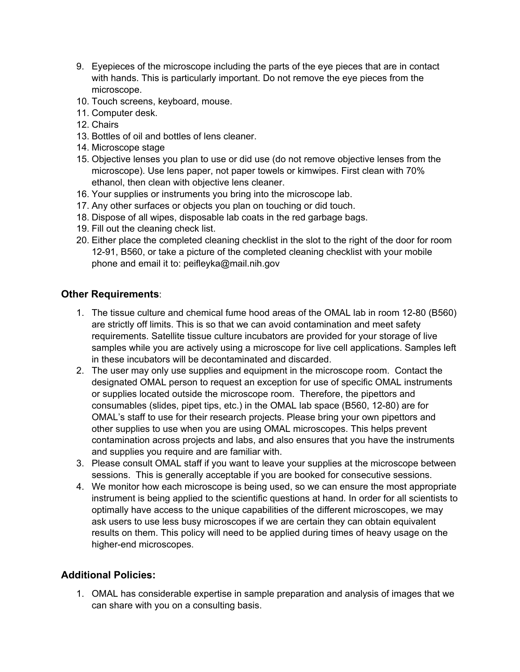- 9. Eyepieces of the microscope including the parts of the eye pieces that are in contact with hands. This is particularly important. Do not remove the eye pieces from the microscope.
- 10. Touch screens, keyboard, mouse.
- 11. Computer desk.
- 12. Chairs
- 13. Bottles of oil and bottles of lens cleaner.
- 14. Microscope stage
- 15. Objective lenses you plan to use or did use (do not remove objective lenses from the microscope). Use lens paper, not paper towels or kimwipes. First clean with 70% ethanol, then clean with objective lens cleaner.
- 16. Your supplies or instruments you bring into the microscope lab.
- 17. Any other surfaces or objects you plan on touching or did touch.
- 18. Dispose of all wipes, disposable lab coats in the red garbage bags.
- 19. Fill out the cleaning check list.
- 20. Either place the completed cleaning checklist in the slot to the right of the door for room 12-91, B560, or take a picture of the completed cleaning checklist with your mobile phone and email it to: peifleyka@mail.nih.gov

### **Other Requirements**:

- 1. The tissue culture and chemical fume hood areas of the OMAL lab in room 12-80 (B560) are strictly off limits. This is so that we can avoid contamination and meet safety requirements. Satellite tissue culture incubators are provided for your storage of live samples while you are actively using a microscope for live cell applications. Samples left in these incubators will be decontaminated and discarded.
- 2. The user may only use supplies and equipment in the microscope room. Contact the designated OMAL person to request an exception for use of specific OMAL instruments or supplies located outside the microscope room. Therefore, the pipettors and consumables (slides, pipet tips, etc.) in the OMAL lab space (B560, 12-80) are for OMAL's staff to use for their research projects. Please bring your own pipettors and other supplies to use when you are using OMAL microscopes. This helps prevent contamination across projects and labs, and also ensures that you have the instruments and supplies you require and are familiar with.
- 3. Please consult OMAL staff if you want to leave your supplies at the microscope between sessions. This is generally acceptable if you are booked for consecutive sessions.
- 4. We monitor how each microscope is being used, so we can ensure the most appropriate instrument is being applied to the scientific questions at hand. In order for all scientists to optimally have access to the unique capabilities of the different microscopes, we may ask users to use less busy microscopes if we are certain they can obtain equivalent results on them. This policy will need to be applied during times of heavy usage on the higher-end microscopes.

### **Additional Policies:**

1. OMAL has considerable expertise in sample preparation and analysis of images that we can share with you on a consulting basis.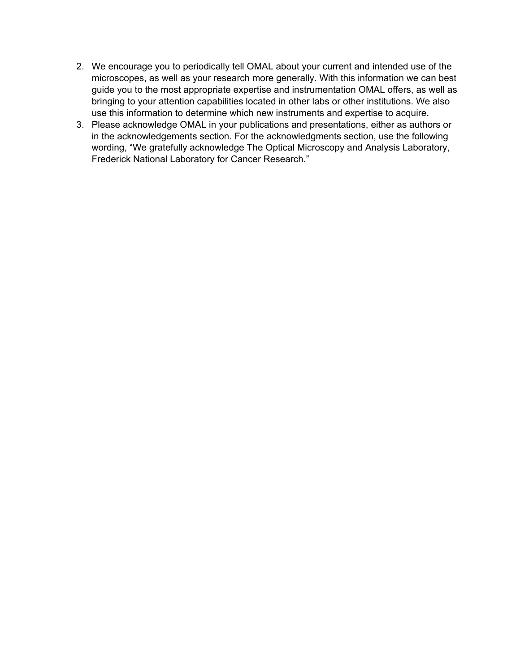- 2. We encourage you to periodically tell OMAL about your current and intended use of the microscopes, as well as your research more generally. With this information we can best guide you to the most appropriate expertise and instrumentation OMAL offers, as well as bringing to your attention capabilities located in other labs or other institutions. We also use this information to determine which new instruments and expertise to acquire.
- 3. Please acknowledge OMAL in your publications and presentations, either as authors or in the acknowledgements section. For the acknowledgments section, use the following wording, "We gratefully acknowledge The Optical Microscopy and Analysis Laboratory, Frederick National Laboratory for Cancer Research."